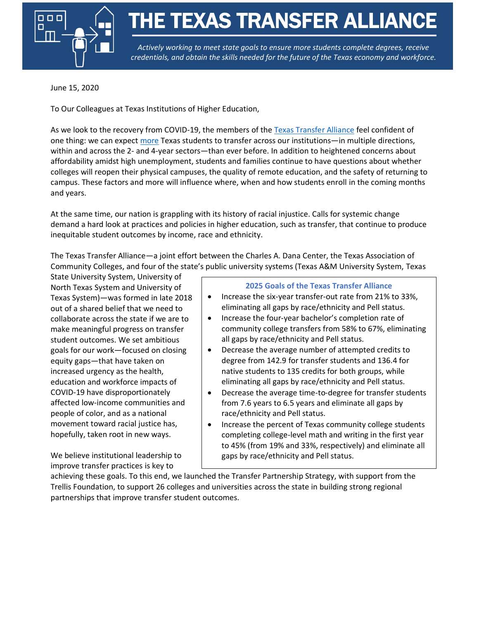

THE TEXAS TRANSFER ALLIANCE

*Actively working to meet state goals to ensure more students complete degrees, receive credentials, and obtain the skills needed for the future of the Texas economy and workforce.* 

June 15, 2020

To Our Colleagues at Texas Institutions of Higher Education,

As we look to the recovery from COVID-19, the members of th[e Texas Transfer Alliance](https://highered.aspeninstitute.org/texas-transfer-alliance/) feel confident of one thing: we can expect [more](https://hechingerreport.org/with-higher-ed-in-limbo-students-are-switching-to-community-colleges/) Texas students to transfer across our institutions—in multiple directions, within and across the 2- and 4-year sectors—than ever before. In addition to heightened concerns about affordability amidst high unemployment, students and families continue to have questions about whether colleges will reopen their physical campuses, the quality of remote education, and the safety of returning to campus. These factors and more will influence where, when and how students enroll in the coming months and years.

At the same time, our nation is grappling with its history of racial injustice. Calls for systemic change demand a hard look at practices and policies in higher education, such as transfer, that continue to produce inequitable student outcomes by income, race and ethnicity.

The Texas Transfer Alliance—a joint effort between the Charles A. Dana Center, the Texas Association of Community Colleges, and four of the state's public university systems (Texas A&M University System, Texas

State University System, University of North Texas System and University of Texas System)—was formed in late 2018 out of a shared belief that we need to collaborate across the state if we are to make meaningful progress on transfer student outcomes. We set ambitious goals for our work—focused on closing equity gaps—that have taken on increased urgency as the health, education and workforce impacts of COVID-19 have disproportionately affected low-income communities and people of color, and as a national movement toward racial justice has, hopefully, taken root in new ways.

We believe institutional leadership to improve transfer practices is key to

## **2025 Goals of the Texas Transfer Alliance**

- Increase the six-year transfer-out rate from 21% to 33%, eliminating all gaps by race/ethnicity and Pell status.
- Increase the four-year bachelor's completion rate of community college transfers from 58% to 67%, eliminating all gaps by race/ethnicity and Pell status.
- Decrease the average number of attempted credits to degree from 142.9 for transfer students and 136.4 for native students to 135 credits for both groups, while eliminating all gaps by race/ethnicity and Pell status.
- Decrease the average time-to-degree for transfer students from 7.6 years to 6.5 years and eliminate all gaps by race/ethnicity and Pell status.
- Increase the percent of Texas community college students completing college-level math and writing in the first year to 45% (from 19% and 33%, respectively) and eliminate all gaps by race/ethnicity and Pell status.

achieving these goals. To this end, we launched the Transfer Partnership Strategy, with support from the Trellis Foundation, to support 26 colleges and universities across the state in building strong regional partnerships that improve transfer student outcomes.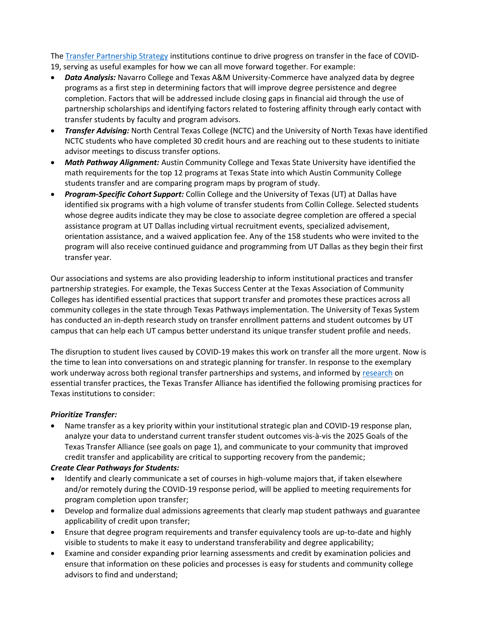The [Transfer Partnership Strategy](https://app.smartsheet.com/b/publish?EQBCT=33a3bda8e44248ca85d59230f429df24) institutions continue to drive progress on transfer in the face of COVID-19, serving as useful examples for how we can all move forward together. For example:

- *Data Analysis:* Navarro College and Texas A&M University-Commerce have analyzed data by degree programs as a first step in determining factors that will improve degree persistence and degree completion. Factors that will be addressed include closing gaps in financial aid through the use of partnership scholarships and identifying factors related to fostering affinity through early contact with transfer students by faculty and program advisors.
- *Transfer Advising:* North Central Texas College (NCTC) and the University of North Texas have identified NCTC students who have completed 30 credit hours and are reaching out to these students to initiate advisor meetings to discuss transfer options.
- *Math Pathway Alignment:* Austin Community College and Texas State University have identified the math requirements for the top 12 programs at Texas State into which Austin Community College students transfer and are comparing program maps by program of study.
- *Program-Specific Cohort Support:* Collin College and the University of Texas (UT) at Dallas have identified six programs with a high volume of transfer students from Collin College. Selected students whose degree audits indicate they may be close to associate degree completion are offered a special assistance program at UT Dallas including virtual recruitment events, specialized advisement, orientation assistance, and a waived application fee. Any of the 158 students who were invited to the program will also receive continued guidance and programming from UT Dallas as they begin their first transfer year.

Our associations and systems are also providing leadership to inform institutional practices and transfer partnership strategies. For example, the Texas Success Center at the Texas Association of Community Colleges has identified essential practices that support transfer and promotes these practices across all community colleges in the state through Texas Pathways implementation. The University of Texas System has conducted an in-depth research study on transfer enrollment patterns and student outcomes by UT campus that can help each UT campus better understand its unique transfer student profile and needs.

The disruption to student lives caused by COVID-19 makes this work on transfer all the more urgent. Now is the time to lean into conversations on and strategic planning for transfer. In response to the exemplary work underway across both regional transfer partnerships and systems, and informed by [research](https://assets.aspeninstitute.org/content/uploads/2016/05/aspen-ccrc_transferplaybook_05-2016.pdf?_ga=2.163406012.1028298172.1589974698-992033565.1574092406) on essential transfer practices, the Texas Transfer Alliance has identified the following promising practices for Texas institutions to consider:

## *Prioritize Transfer:*

• Name transfer as a key priority within your institutional strategic plan and COVID-19 response plan, analyze your data to understand current transfer student outcomes vis-à-vis the 2025 Goals of the Texas Transfer Alliance (see goals on page 1), and communicate to your community that improved credit transfer and applicability are critical to supporting recovery from the pandemic;

## *Create Clear Pathways for Students:*

- Identify and clearly communicate a set of courses in high-volume majors that, if taken elsewhere and/or remotely during the COVID-19 response period, will be applied to meeting requirements for program completion upon transfer;
- Develop and formalize dual admissions agreements that clearly map student pathways and guarantee applicability of credit upon transfer;
- Ensure that degree program requirements and transfer equivalency tools are up-to-date and highly visible to students to make it easy to understand transferability and degree applicability;
- Examine and consider expanding prior learning assessments and credit by examination policies and ensure that information on these policies and processes is easy for students and community college advisors to find and understand;